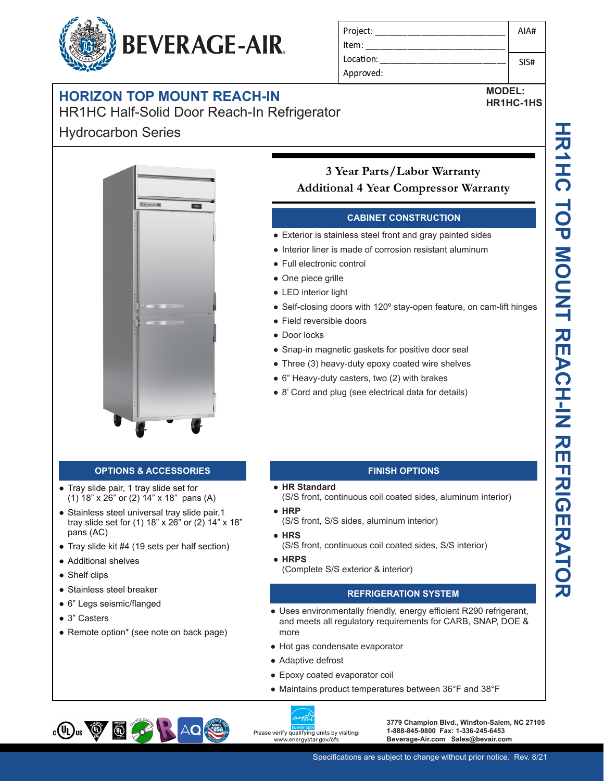

HR1HC Half-Solid Door Reach-In Refrigerator

## Hydrocarbon Series



#### **OPTIONS & ACCESSORIES**

- Tray slide pair, 1 tray slide set for (1) 18" x 26" or (2) 14" x 18" pans (A)
- Stainless steel universal tray slide pair, 1 tray slide set for (1) 18" x 26" or (2) 14" x 18" pans (AC)
- Tray slide kit #4 (19 sets per half section)
- Additional shelves
- Shelf clips
- Stainless steel breaker
- 6" Legs seismic/flanged
- 3" Casters
- Remote option\* (see note on back page)

| Project:  | AIA# |
|-----------|------|
| Item:     |      |
| Location: | SIS# |
| Approved: |      |

**MODEL: HR1HC-1HS**

> HR1HC 10P MOUNT REACH-IN REFERIGENCENT **TOP MOUNT REACH-IN REFRIGERATOR**

# **3 Year Parts/Labor Warranty Additional 4 Year Compressor Warranty**

### **CABINET CONSTRUCTION**

- Exterior is stainless steel front and gray painted sides
- Interior liner is made of corrosion resistant aluminum
- Full electronic control
- One piece grille
- LED interior light
- Self-closing doors with 120° stay-open feature, on cam-lift hinges
- Field reversible doors
- Door locks
- Snap-in magnetic gaskets for positive door seal
- Three (3) heavy-duty epoxy coated wire shelves
- 6" Heavy-duty casters, two (2) with brakes
- 8' Cord and plug (see electrical data for details)

#### **FINISH OPTIONS**

- **HR Standard** 
	- (S/S front, continuous coil coated sides, aluminum interior)
- **HRP**
	- (S/S front, S/S sides, aluminum interior)
- **HRS** (S/S front, continuous coil coated sides, S/S interior)
- **HRPS** (Complete S/S exterior & interior)

#### **REFRIGERATION SYSTEM**

- Uses environmentally friendly, energy efficient R290 refrigerant, and meets all regulatory requirements for CARB, SNAP, DOE & more
- Hot gas condensate evaporator
- Adaptive defrost
- Epoxy coated evaporator coil
- Maintains product temperatures between 36°F and 38°F



**3779 Champion Blvd., Winston-Salem, NC 27105 1-888-845-9800 Fax: 1-336-245-6453 Beverage-Air.com Sales@bevair.com**